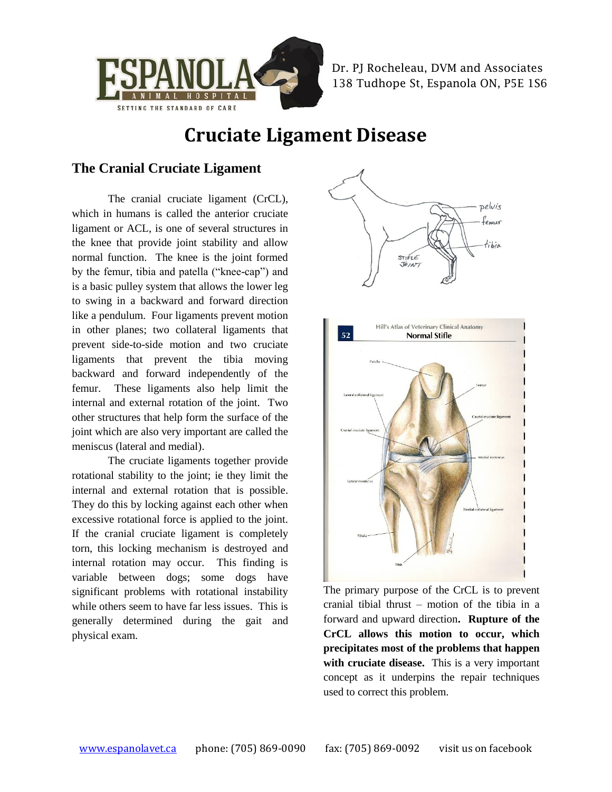

Dr. PJ Rocheleau, DVM and Associates 138 Tudhope St, Espanola ON, P5E 1S6

# **Cruciate Ligament Disease**

#### **The Cranial Cruciate Ligament**

The cranial cruciate ligament (CrCL), which in humans is called the anterior cruciate ligament or ACL, is one of several structures in the knee that provide joint stability and allow normal function. The knee is the joint formed by the femur, tibia and patella ("knee-cap") and is a basic pulley system that allows the lower leg to swing in a backward and forward direction like a pendulum. Four ligaments prevent motion in other planes; two collateral ligaments that prevent side-to-side motion and two cruciate ligaments that prevent the tibia moving backward and forward independently of the femur. These ligaments also help limit the internal and external rotation of the joint. Two other structures that help form the surface of the joint which are also very important are called the meniscus (lateral and medial).

The cruciate ligaments together provide rotational stability to the joint; ie they limit the internal and external rotation that is possible. They do this by locking against each other when excessive rotational force is applied to the joint. If the cranial cruciate ligament is completely torn, this locking mechanism is destroyed and internal rotation may occur. This finding is variable between dogs; some dogs have significant problems with rotational instability while others seem to have far less issues. This is generally determined during the gait and physical exam.





The primary purpose of the CrCL is to prevent cranial tibial thrust – motion of the tibia in a forward and upward direction**. Rupture of the CrCL allows this motion to occur, which precipitates most of the problems that happen**  with cruciate disease. This is a very important concept as it underpins the repair techniques used to correct this problem.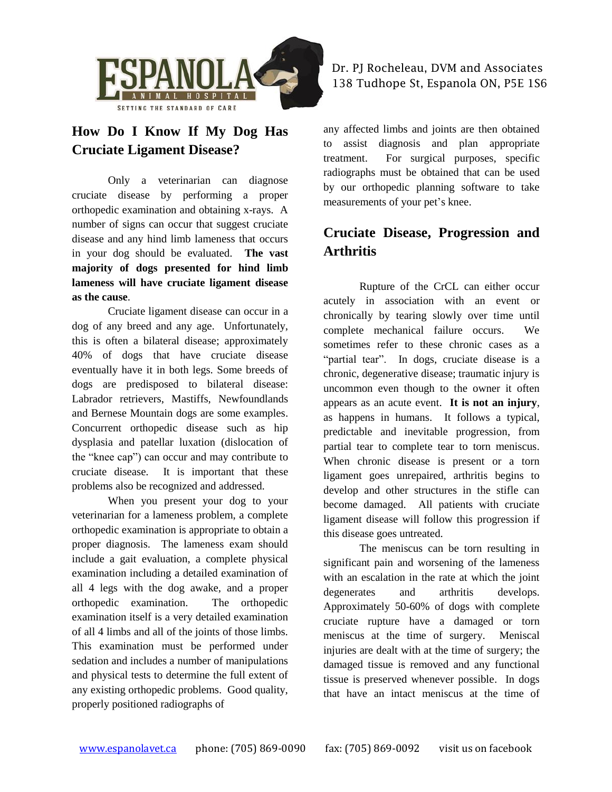

## **How Do I Know If My Dog Has Cruciate Ligament Disease?**

Only a veterinarian can diagnose cruciate disease by performing a proper orthopedic examination and obtaining x-rays. A number of signs can occur that suggest cruciate disease and any hind limb lameness that occurs in your dog should be evaluated. **The vast majority of dogs presented for hind limb lameness will have cruciate ligament disease as the cause**.

Cruciate ligament disease can occur in a dog of any breed and any age. Unfortunately, this is often a bilateral disease; approximately 40% of dogs that have cruciate disease eventually have it in both legs. Some breeds of dogs are predisposed to bilateral disease: Labrador retrievers, Mastiffs, Newfoundlands and Bernese Mountain dogs are some examples. Concurrent orthopedic disease such as hip dysplasia and patellar luxation (dislocation of the "knee cap") can occur and may contribute to cruciate disease. It is important that these problems also be recognized and addressed.

When you present your dog to your veterinarian for a lameness problem, a complete orthopedic examination is appropriate to obtain a proper diagnosis. The lameness exam should include a gait evaluation, a complete physical examination including a detailed examination of all 4 legs with the dog awake, and a proper orthopedic examination. The orthopedic examination itself is a very detailed examination of all 4 limbs and all of the joints of those limbs. This examination must be performed under sedation and includes a number of manipulations and physical tests to determine the full extent of any existing orthopedic problems. Good quality, properly positioned radiographs of

any affected limbs and joints are then obtained to assist diagnosis and plan appropriate treatment. For surgical purposes, specific radiographs must be obtained that can be used by our orthopedic planning software to take measurements of your pet's knee.

## **Cruciate Disease, Progression and Arthritis**

Rupture of the CrCL can either occur acutely in association with an event or chronically by tearing slowly over time until complete mechanical failure occurs. We sometimes refer to these chronic cases as a "partial tear". In dogs, cruciate disease is a chronic, degenerative disease; traumatic injury is uncommon even though to the owner it often appears as an acute event. **It is not an injury**, as happens in humans. It follows a typical, predictable and inevitable progression, from partial tear to complete tear to torn meniscus. When chronic disease is present or a torn ligament goes unrepaired, arthritis begins to develop and other structures in the stifle can become damaged. All patients with cruciate ligament disease will follow this progression if this disease goes untreated.

The meniscus can be torn resulting in significant pain and worsening of the lameness with an escalation in the rate at which the joint degenerates and arthritis develops. Approximately 50-60% of dogs with complete cruciate rupture have a damaged or torn meniscus at the time of surgery. Meniscal injuries are dealt with at the time of surgery; the damaged tissue is removed and any functional tissue is preserved whenever possible. In dogs that have an intact meniscus at the time of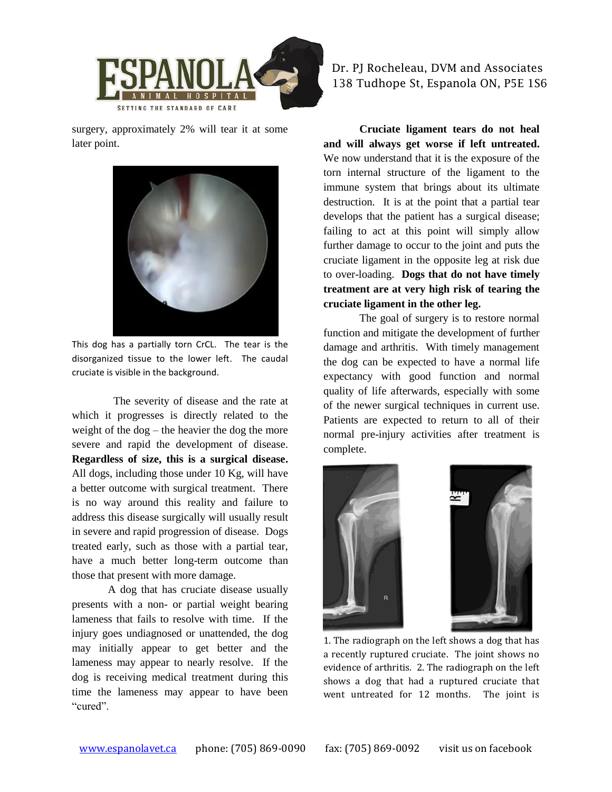

surgery, approximately 2% will tear it at some later point.



This dog has a partially torn CrCL. The tear is the disorganized tissue to the lower left. The caudal cruciate is visible in the background.

 The severity of disease and the rate at which it progresses is directly related to the weight of the dog – the heavier the dog the more severe and rapid the development of disease. **Regardless of size, this is a surgical disease.** All dogs, including those under 10 Kg, will have a better outcome with surgical treatment. There is no way around this reality and failure to address this disease surgically will usually result in severe and rapid progression of disease. Dogs treated early, such as those with a partial tear, have a much better long-term outcome than those that present with more damage.

A dog that has cruciate disease usually presents with a non- or partial weight bearing lameness that fails to resolve with time. If the injury goes undiagnosed or unattended, the dog may initially appear to get better and the lameness may appear to nearly resolve. If the dog is receiving medical treatment during this time the lameness may appear to have been "cured".

Dr. PJ Rocheleau, DVM and Associates 138 Tudhope St, Espanola ON, P5E 1S6

**Cruciate ligament tears do not heal and will always get worse if left untreated.** We now understand that it is the exposure of the torn internal structure of the ligament to the immune system that brings about its ultimate destruction. It is at the point that a partial tear develops that the patient has a surgical disease; failing to act at this point will simply allow further damage to occur to the joint and puts the cruciate ligament in the opposite leg at risk due to over-loading. **Dogs that do not have timely treatment are at very high risk of tearing the cruciate ligament in the other leg.**

The goal of surgery is to restore normal function and mitigate the development of further damage and arthritis. With timely management the dog can be expected to have a normal life expectancy with good function and normal quality of life afterwards, especially with some of the newer surgical techniques in current use. Patients are expected to return to all of their normal pre-injury activities after treatment is complete.



1. The radiograph on the left shows a dog that has a recently ruptured cruciate. The joint shows no evidence of arthritis. 2. The radiograph on the left shows a dog that had a ruptured cruciate that went untreated for 12 months. The joint is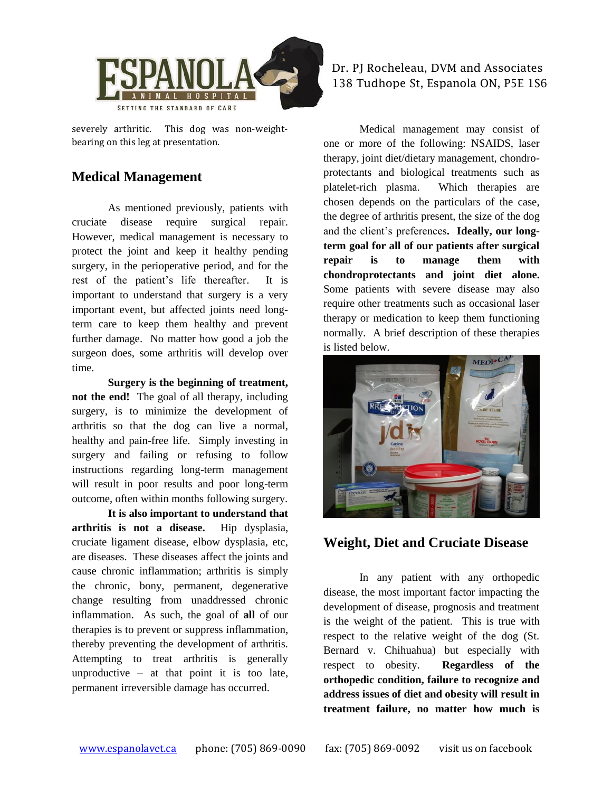

severely arthritic. This dog was non-weightbearing on this leg at presentation.

#### **Medical Management**

As mentioned previously, patients with cruciate disease require surgical repair. However, medical management is necessary to protect the joint and keep it healthy pending surgery, in the perioperative period, and for the rest of the patient's life thereafter. It is important to understand that surgery is a very important event, but affected joints need longterm care to keep them healthy and prevent further damage. No matter how good a job the surgeon does, some arthritis will develop over time.

**Surgery is the beginning of treatment, not the end!** The goal of all therapy, including surgery, is to minimize the development of arthritis so that the dog can live a normal, healthy and pain-free life. Simply investing in surgery and failing or refusing to follow instructions regarding long-term management will result in poor results and poor long-term outcome, often within months following surgery.

**It is also important to understand that arthritis is not a disease.** Hip dysplasia, cruciate ligament disease, elbow dysplasia, etc, are diseases. These diseases affect the joints and cause chronic inflammation; arthritis is simply the chronic, bony, permanent, degenerative change resulting from unaddressed chronic inflammation. As such, the goal of **all** of our therapies is to prevent or suppress inflammation, thereby preventing the development of arthritis. Attempting to treat arthritis is generally unproductive – at that point it is too late, permanent irreversible damage has occurred.

#### Dr. PJ Rocheleau, DVM and Associates 138 Tudhope St, Espanola ON, P5E 1S6

Medical management may consist of one or more of the following: NSAIDS, laser therapy, joint diet/dietary management, chondroprotectants and biological treatments such as platelet-rich plasma. Which therapies are chosen depends on the particulars of the case, the degree of arthritis present, the size of the dog and the client's preferences**. Ideally, our longterm goal for all of our patients after surgical repair is to manage them with chondroprotectants and joint diet alone.** Some patients with severe disease may also require other treatments such as occasional laser therapy or medication to keep them functioning normally. A brief description of these therapies is listed below.



### **Weight, Diet and Cruciate Disease**

In any patient with any orthopedic disease, the most important factor impacting the development of disease, prognosis and treatment is the weight of the patient. This is true with respect to the relative weight of the dog (St. Bernard v. Chihuahua) but especially with respect to obesity. **Regardless of the orthopedic condition, failure to recognize and address issues of diet and obesity will result in treatment failure, no matter how much is**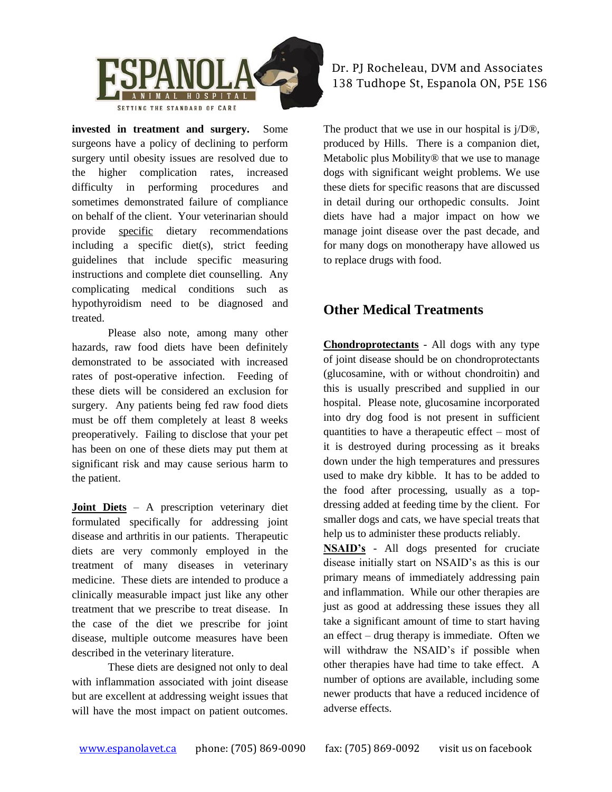

**invested in treatment and surgery.** Some surgeons have a policy of declining to perform surgery until obesity issues are resolved due to the higher complication rates, increased difficulty in performing procedures and sometimes demonstrated failure of compliance on behalf of the client. Your veterinarian should provide specific dietary recommendations including a specific diet(s), strict feeding guidelines that include specific measuring instructions and complete diet counselling. Any complicating medical conditions such as hypothyroidism need to be diagnosed and treated.

Please also note, among many other hazards, raw food diets have been definitely demonstrated to be associated with increased rates of post-operative infection. Feeding of these diets will be considered an exclusion for surgery. Any patients being fed raw food diets must be off them completely at least 8 weeks preoperatively. Failing to disclose that your pet has been on one of these diets may put them at significant risk and may cause serious harm to the patient.

**Joint Diets** – A prescription veterinary diet formulated specifically for addressing joint disease and arthritis in our patients. Therapeutic diets are very commonly employed in the treatment of many diseases in veterinary medicine. These diets are intended to produce a clinically measurable impact just like any other treatment that we prescribe to treat disease. In the case of the diet we prescribe for joint disease, multiple outcome measures have been described in the veterinary literature.

These diets are designed not only to deal with inflammation associated with joint disease but are excellent at addressing weight issues that will have the most impact on patient outcomes.

#### Dr. PJ Rocheleau, DVM and Associates 138 Tudhope St, Espanola ON, P5E 1S6

The product that we use in our hospital is j/D®, produced by Hills. There is a companion diet, Metabolic plus Mobility® that we use to manage dogs with significant weight problems. We use these diets for specific reasons that are discussed in detail during our orthopedic consults. Joint diets have had a major impact on how we manage joint disease over the past decade, and for many dogs on monotherapy have allowed us to replace drugs with food.

### **Other Medical Treatments**

**Chondroprotectants** - All dogs with any type of joint disease should be on chondroprotectants (glucosamine, with or without chondroitin) and this is usually prescribed and supplied in our hospital. Please note, glucosamine incorporated into dry dog food is not present in sufficient quantities to have a therapeutic effect – most of it is destroyed during processing as it breaks down under the high temperatures and pressures used to make dry kibble. It has to be added to the food after processing, usually as a topdressing added at feeding time by the client. For smaller dogs and cats, we have special treats that help us to administer these products reliably.

**NSAID's** - All dogs presented for cruciate disease initially start on NSAID's as this is our primary means of immediately addressing pain and inflammation. While our other therapies are just as good at addressing these issues they all take a significant amount of time to start having an effect – drug therapy is immediate. Often we will withdraw the NSAID's if possible when other therapies have had time to take effect. A number of options are available, including some newer products that have a reduced incidence of adverse effects.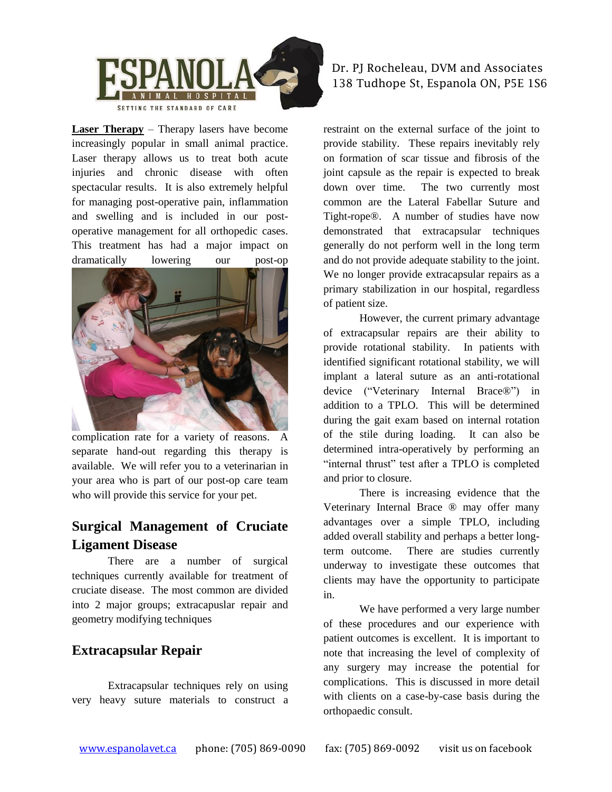

**Laser Therapy** – Therapy lasers have become increasingly popular in small animal practice. Laser therapy allows us to treat both acute injuries and chronic disease with often spectacular results. It is also extremely helpful for managing post-operative pain, inflammation and swelling and is included in our postoperative management for all orthopedic cases. This treatment has had a major impact on dramatically lowering our post-op



complication rate for a variety of reasons. A separate hand-out regarding this therapy is available. We will refer you to a veterinarian in your area who is part of our post-op care team who will provide this service for your pet.

## **Surgical Management of Cruciate Ligament Disease**

There are a number of surgical techniques currently available for treatment of cruciate disease. The most common are divided into 2 major groups; extracapuslar repair and geometry modifying techniques

### **Extracapsular Repair**

Extracapsular techniques rely on using very heavy suture materials to construct a Dr. PJ Rocheleau, DVM and Associates 138 Tudhope St, Espanola ON, P5E 1S6

restraint on the external surface of the joint to provide stability. These repairs inevitably rely on formation of scar tissue and fibrosis of the joint capsule as the repair is expected to break down over time. The two currently most common are the Lateral Fabellar Suture and Tight-rope®. A number of studies have now demonstrated that extracapsular techniques generally do not perform well in the long term and do not provide adequate stability to the joint. We no longer provide extracapsular repairs as a primary stabilization in our hospital, regardless of patient size.

However, the current primary advantage of extracapsular repairs are their ability to provide rotational stability. In patients with identified significant rotational stability, we will implant a lateral suture as an anti-rotational device ("Veterinary Internal Brace®") in addition to a TPLO. This will be determined during the gait exam based on internal rotation of the stile during loading. It can also be determined intra-operatively by performing an "internal thrust" test after a TPLO is completed and prior to closure.

There is increasing evidence that the Veterinary Internal Brace ® may offer many advantages over a simple TPLO, including added overall stability and perhaps a better longterm outcome. There are studies currently underway to investigate these outcomes that clients may have the opportunity to participate in.

We have performed a very large number of these procedures and our experience with patient outcomes is excellent. It is important to note that increasing the level of complexity of any surgery may increase the potential for complications. This is discussed in more detail with clients on a case-by-case basis during the orthopaedic consult.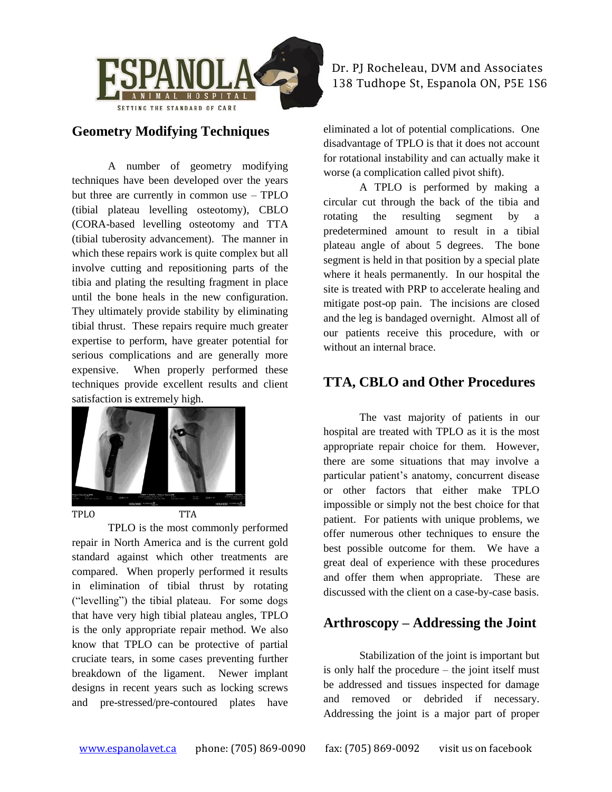

#### **Geometry Modifying Techniques**

A number of geometry modifying techniques have been developed over the years but three are currently in common use – TPLO (tibial plateau levelling osteotomy), CBLO (CORA-based levelling osteotomy and TTA (tibial tuberosity advancement). The manner in which these repairs work is quite complex but all involve cutting and repositioning parts of the tibia and plating the resulting fragment in place until the bone heals in the new configuration. They ultimately provide stability by eliminating tibial thrust. These repairs require much greater expertise to perform, have greater potential for serious complications and are generally more expensive. When properly performed these techniques provide excellent results and client satisfaction is extremely high.



TPLO is the most commonly performed repair in North America and is the current gold standard against which other treatments are compared. When properly performed it results in elimination of tibial thrust by rotating ("levelling") the tibial plateau. For some dogs that have very high tibial plateau angles, TPLO is the only appropriate repair method. We also know that TPLO can be protective of partial cruciate tears, in some cases preventing further breakdown of the ligament. Newer implant designs in recent years such as locking screws and pre-stressed/pre-contoured plates have

Dr. PJ Rocheleau, DVM and Associates 138 Tudhope St, Espanola ON, P5E 1S6

eliminated a lot of potential complications. One disadvantage of TPLO is that it does not account for rotational instability and can actually make it worse (a complication called pivot shift).

A TPLO is performed by making a circular cut through the back of the tibia and rotating the resulting segment by a predetermined amount to result in a tibial plateau angle of about 5 degrees. The bone segment is held in that position by a special plate where it heals permanently. In our hospital the site is treated with PRP to accelerate healing and mitigate post-op pain. The incisions are closed and the leg is bandaged overnight. Almost all of our patients receive this procedure, with or without an internal brace.

### **TTA, CBLO and Other Procedures**

The vast majority of patients in our hospital are treated with TPLO as it is the most appropriate repair choice for them. However, there are some situations that may involve a particular patient's anatomy, concurrent disease or other factors that either make TPLO impossible or simply not the best choice for that patient. For patients with unique problems, we offer numerous other techniques to ensure the best possible outcome for them. We have a great deal of experience with these procedures and offer them when appropriate. These are discussed with the client on a case-by-case basis.

### **Arthroscopy – Addressing the Joint**

Stabilization of the joint is important but is only half the procedure – the joint itself must be addressed and tissues inspected for damage and removed or debrided if necessary. Addressing the joint is a major part of proper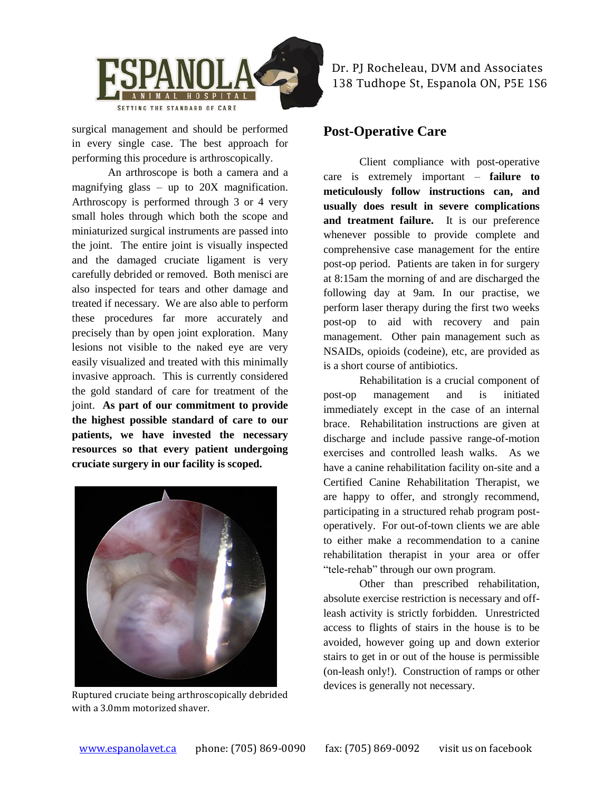

surgical management and should be performed in every single case. The best approach for performing this procedure is arthroscopically.

An arthroscope is both a camera and a magnifying glass – up to 20X magnification. Arthroscopy is performed through 3 or 4 very small holes through which both the scope and miniaturized surgical instruments are passed into the joint. The entire joint is visually inspected and the damaged cruciate ligament is very carefully debrided or removed. Both menisci are also inspected for tears and other damage and treated if necessary. We are also able to perform these procedures far more accurately and precisely than by open joint exploration. Many lesions not visible to the naked eye are very easily visualized and treated with this minimally invasive approach. This is currently considered the gold standard of care for treatment of the joint. **As part of our commitment to provide the highest possible standard of care to our patients, we have invested the necessary resources so that every patient undergoing cruciate surgery in our facility is scoped.**



Ruptured cruciate being arthroscopically debrided with a 3.0mm motorized shaver.

Dr. PJ Rocheleau, DVM and Associates 138 Tudhope St, Espanola ON, P5E 1S6

#### **Post-Operative Care**

Client compliance with post-operative care is extremely important – **failure to meticulously follow instructions can, and usually does result in severe complications and treatment failure.** It is our preference whenever possible to provide complete and comprehensive case management for the entire post-op period. Patients are taken in for surgery at 8:15am the morning of and are discharged the following day at 9am. In our practise, we perform laser therapy during the first two weeks post-op to aid with recovery and pain management. Other pain management such as NSAIDs, opioids (codeine), etc, are provided as is a short course of antibiotics.

Rehabilitation is a crucial component of post-op management and is initiated immediately except in the case of an internal brace. Rehabilitation instructions are given at discharge and include passive range-of-motion exercises and controlled leash walks. As we have a canine rehabilitation facility on-site and a Certified Canine Rehabilitation Therapist, we are happy to offer, and strongly recommend, participating in a structured rehab program postoperatively. For out-of-town clients we are able to either make a recommendation to a canine rehabilitation therapist in your area or offer "tele-rehab" through our own program.

Other than prescribed rehabilitation, absolute exercise restriction is necessary and offleash activity is strictly forbidden. Unrestricted access to flights of stairs in the house is to be avoided, however going up and down exterior stairs to get in or out of the house is permissible (on-leash only!). Construction of ramps or other devices is generally not necessary.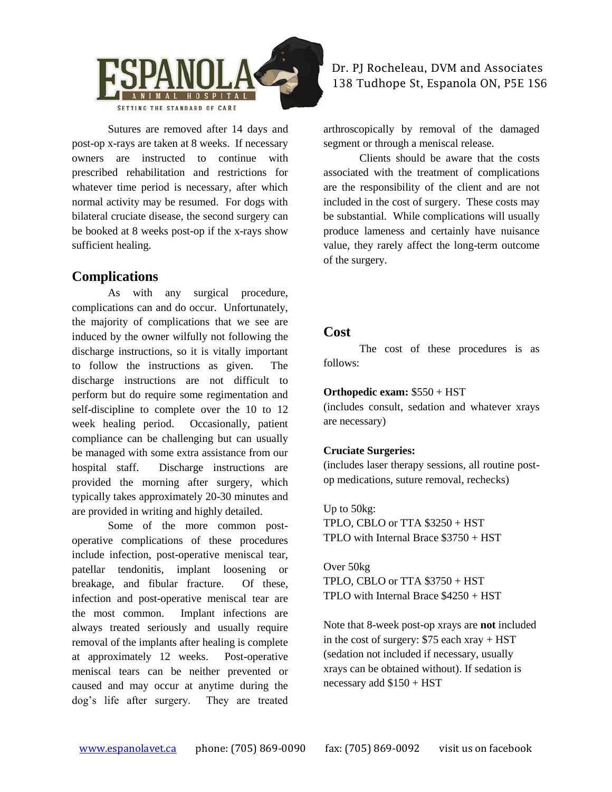

Sutures are removed after 14 days and post-op x-rays are taken at 8 weeks. If necessary owners are instructed to continue with prescribed rehabilitation and restrictions for whatever time period is necessary, after which normal activity may be resumed. For dogs with bilateral cruciate disease, the second surgery can be booked at 8 weeks post-op if the x-rays show sufficient healing.

### **Complications**

As with any surgical procedure, complications can and do occur. Unfortunately, the majority of complications that we see are induced by the owner wilfully not following the discharge instructions, so it is vitally important to follow the instructions as given. The discharge instructions are not difficult to perform but do require some regimentation and self-discipline to complete over the 10 to 12 week healing period. Occasionally, patient compliance can be challenging but can usually be managed with some extra assistance from our hospital staff. Discharge instructions are provided the morning after surgery, which typically takes approximately 20-30 minutes and are provided in writing and highly detailed.

Some of the more common postoperative complications of these procedures include infection, post-operative meniscal tear, patellar tendonitis, implant loosening or breakage, and fibular fracture. Of these, infection and post-operative meniscal tear are the most common. Implant infections are always treated seriously and usually require removal of the implants after healing is complete at approximately 12 weeks. Post-operative meniscal tears can be neither prevented or caused and may occur at anytime during the dog's life after surgery. They are treated

#### Dr. PJ Rocheleau, DVM and Associates 138 Tudhope St, Espanola ON, P5E 1S6

arthroscopically by removal of the damaged segment or through a meniscal release.

Clients should be aware that the costs associated with the treatment of complications are the responsibility of the client and are not included in the cost of surgery. These costs may be substantial. While complications will usually produce lameness and certainly have nuisance value, they rarely affect the long-term outcome of the surgery.

#### **Cost**

The cost of these procedures is as follows:

#### **Orthopedic exam:** \$550 + HST

(includes consult, sedation and whatever xrays are necessary)

#### **Cruciate Surgeries:**

(includes laser therapy sessions, all routine postop medications, suture removal, rechecks)

Up to 50kg: TPLO, CBLO or TTA \$3250 + HST TPLO with Internal Brace \$3750 + HST

Over 50kg TPLO, CBLO or TTA \$3750 + HST TPLO with Internal Brace \$4250 + HST

Note that 8-week post-op xrays are **not** included in the cost of surgery: \$75 each xray + HST (sedation not included if necessary, usually xrays can be obtained without). If sedation is necessary add \$150 + HST